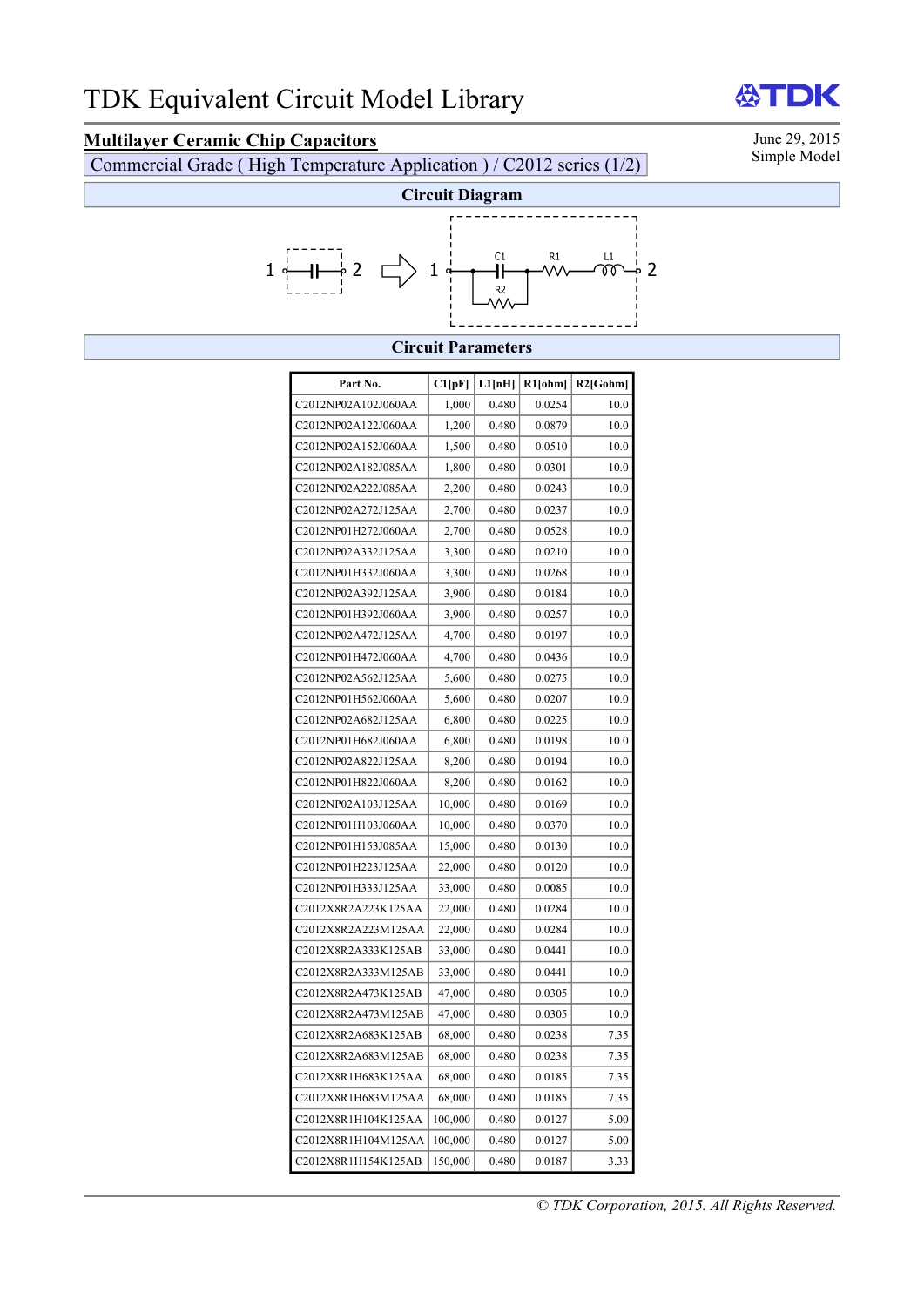# **Multilayer Ceramic Chip Capacitors** June 29, 2015<br>Commercial Grade (High Temperature Application) / C2012 series (1/2) Simple Model

Commercial Grade ( High Temperature Application ) / C2012 series  $(1/2)$ 

DK



#### **Circuit Parameters**

| Part No.            | C1[pF]  | L1[nH] | $R1$ [ohm] | $R2$ [Gohm] |
|---------------------|---------|--------|------------|-------------|
| C2012NP02A102J060AA | 1,000   | 0.480  | 0.0254     | 10.0        |
| C2012NP02A122J060AA | 1,200   | 0.480  | 0.0879     | 10.0        |
| C2012NP02A152J060AA | 1,500   | 0.480  | 0.0510     | 10.0        |
| C2012NP02A182J085AA | 1,800   | 0.480  | 0.0301     | 10.0        |
| C2012NP02A222J085AA | 2,200   | 0.480  | 0.0243     | 10.0        |
| C2012NP02A272J125AA | 2,700   | 0.480  | 0.0237     | 10.0        |
| C2012NP01H272J060AA | 2,700   | 0.480  | 0.0528     | 10.0        |
| C2012NP02A332J125AA | 3,300   | 0.480  | 0.0210     | 10.0        |
| C2012NP01H332J060AA | 3,300   | 0.480  | 0.0268     | 10.0        |
| C2012NP02A392J125AA | 3,900   | 0.480  | 0.0184     | 10.0        |
| C2012NP01H392J060AA | 3,900   | 0.480  | 0.0257     | 10.0        |
| C2012NP02A472J125AA | 4,700   | 0.480  | 0.0197     | 10.0        |
| C2012NP01H472J060AA | 4,700   | 0.480  | 0.0436     | 10.0        |
| C2012NP02A562J125AA | 5,600   | 0.480  | 0.0275     | 10.0        |
| C2012NP01H562J060AA | 5,600   | 0.480  | 0.0207     | 10.0        |
| C2012NP02A682J125AA | 6,800   | 0.480  | 0.0225     | 10.0        |
| C2012NP01H682J060AA | 6,800   | 0.480  | 0.0198     | 10.0        |
| C2012NP02A822J125AA | 8,200   | 0.480  | 0.0194     | 10.0        |
| C2012NP01H822J060AA | 8,200   | 0.480  | 0.0162     | 10.0        |
| C2012NP02A103J125AA | 10,000  | 0.480  | 0.0169     | 10.0        |
| C2012NP01H103J060AA | 10,000  | 0.480  | 0.0370     | 10.0        |
| C2012NP01H153J085AA | 15,000  | 0.480  | 0.0130     | 10.0        |
| C2012NP01H223J125AA | 22,000  | 0.480  | 0.0120     | 10.0        |
| C2012NP01H333J125AA | 33,000  | 0.480  | 0.0085     | 10.0        |
| C2012X8R2A223K125AA | 22,000  | 0.480  | 0.0284     | 10.0        |
| C2012X8R2A223M125AA | 22,000  | 0.480  | 0.0284     | 10.0        |
| C2012X8R2A333K125AB | 33,000  | 0.480  | 0.0441     | 10.0        |
| C2012X8R2A333M125AB | 33,000  | 0.480  | 0.0441     | 10.0        |
| C2012X8R2A473K125AB | 47,000  | 0.480  | 0.0305     | 10.0        |
| C2012X8R2A473M125AB | 47,000  | 0.480  | 0.0305     | 10.0        |
| C2012X8R2A683K125AB | 68,000  | 0.480  | 0.0238     | 7.35        |
| C2012X8R2A683M125AB | 68,000  | 0.480  | 0.0238     | 7.35        |
| C2012X8R1H683K125AA | 68,000  | 0.480  | 0.0185     | 7.35        |
| C2012X8R1H683M125AA | 68,000  | 0.480  | 0.0185     | 7.35        |
| C2012X8R1H104K125AA | 100,000 | 0.480  | 0.0127     | 5.00        |
| C2012X8R1H104M125AA | 100,000 | 0.480  | 0.0127     | 5.00        |
| C2012X8R1H154K125AB | 150,000 | 0.480  | 0.0187     | 3.33        |

份